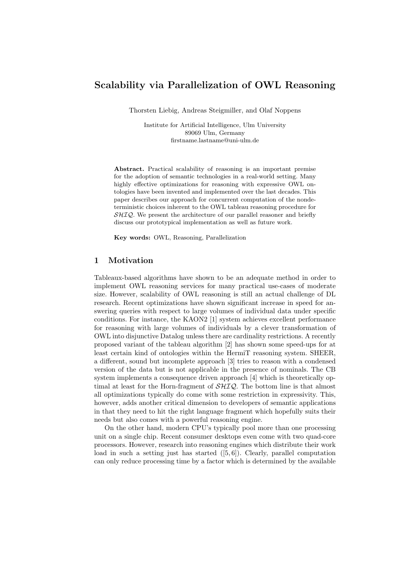# Scalability via Parallelization of OWL Reasoning

Thorsten Liebig, Andreas Steigmiller, and Olaf Noppens

Institute for Artificial Intelligence, Ulm University 89069 Ulm, Germany firstname.lastname@uni-ulm.de

Abstract. Practical scalability of reasoning is an important premise for the adoption of semantic technologies in a real-world setting. Many highly effective optimizations for reasoning with expressive OWL ontologies have been invented and implemented over the last decades. This paper describes our approach for concurrent computation of the nondeterministic choices inherent to the OWL tableau reasoning procedure for  $\mathcal{SHIQ}$ . We present the architecture of our parallel reasoner and briefly discuss our prototypical implementation as well as future work.

Key words: OWL, Reasoning, Parallelization

# 1 Motivation

Tableaux-based algorithms have shown to be an adequate method in order to implement OWL reasoning services for many practical use-cases of moderate size. However, scalability of OWL reasoning is still an actual challenge of DL research. Recent optimizations have shown significant increase in speed for answering queries with respect to large volumes of individual data under specific conditions. For instance, the KAON2 [1] system achieves excellent performance for reasoning with large volumes of individuals by a clever transformation of OWL into disjunctive Datalog unless there are cardinality restrictions. A recently proposed variant of the tableau algorithm [2] has shown some speed-ups for at least certain kind of ontologies within the HermiT reasoning system. SHEER, a different, sound but incomplete approach [3] tries to reason with a condensed version of the data but is not applicable in the presence of nominals. The CB system implements a consequence driven approach [4] which is theoretically optimal at least for the Horn-fragment of  $\mathcal{SHIO}$ . The bottom line is that almost all optimizations typically do come with some restriction in expressivity. This, however, adds another critical dimension to developers of semantic applications in that they need to hit the right language fragment which hopefully suits their needs but also comes with a powerful reasoning engine.

On the other hand, modern CPU's typically pool more than one processing unit on a single chip. Recent consumer desktops even come with two quad-core processors. However, research into reasoning engines which distribute their work load in such a setting just has started  $([5, 6])$ . Clearly, parallel computation can only reduce processing time by a factor which is determined by the available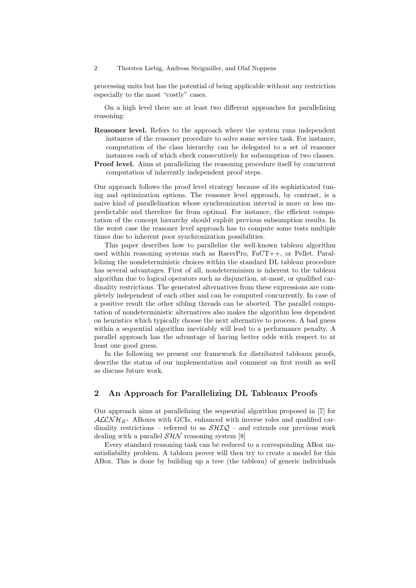#### 2 Thorsten Liebig, Andreas Steigmiller, and Olaf Noppens

processing units but has the potential of being applicable without any restriction especially to the most "costly" cases.

On a high level there are at least two different approaches for parallelizing reasoning:

- Reasoner level. Refers to the approach where the system runs independent instances of the reasoner procedure to solve some service task. For instance, computation of the class hierarchy can be delegated to a set of reasoner instances each of which check consecutively for subsumption of two classes.
- Proof level. Aims at parallelizing the reasoning procedure itself by concurrent computation of inherently independent proof steps.

Our approach follows the proof level strategy because of its sophisticated tuning and optimization options. The reasoner level approach, by contrast, is a naive kind of parallelization whose synchronization interval is more or less unpredictable and therefore far from optimal. For instance, the efficient computation of the concept hierarchy should exploit previous subsumption results. In the worst case the reasoner level approach has to compute some tests multiple times due to inherent poor synchronization possibilities.

This paper describes how to parallelize the well-known tableau algorithm used within reasoning systems such as RacerPro, FaCT++, or Pellet. Parallelizing the nondeterministic choices within the standard DL tableau procedure has several advantages. First of all, nondeterminism is inherent to the tableau algorithm due to logical operators such as disjunction, at-most, or qualified cardinality restrictions. The generated alternatives from these expressions are completely independent of each other and can be computed concurrently. In case of a positive result the other sibling threads can be aborted. The parallel computation of nondeterministic alternatives also makes the algorithm less dependent on heuristics which typically choose the next alternative to process. A bad guess within a sequential algorithm inevitably will lead to a performance penalty. A parallel approach has the advantage of having better odds with respect to at least one good guess.

In the following we present our framework for distributed tableaux proofs, describe the status of our implementation and comment on first result as well as discuss future work.

# 2 An Approach for Parallelizing DL Tableaux Proofs

Our approach aims at parallelizing the sequential algorithm proposed in [7] for  $ALCNH_{R+}$  ABoxes with GCIs, enhanced with inverse roles and qualified cardinality restrictions – referred to as  $\mathcal{SHIQ}$  – and extends our previous work dealing with a parallel  $\mathcal{SHN}$  reasoning system [8]

Every standard reasoning task can be reduced to a corresponding ABox unsatisfiability problem. A tableau prover will then try to create a model for this ABox. This is done by building up a tree (the tableau) of generic individuals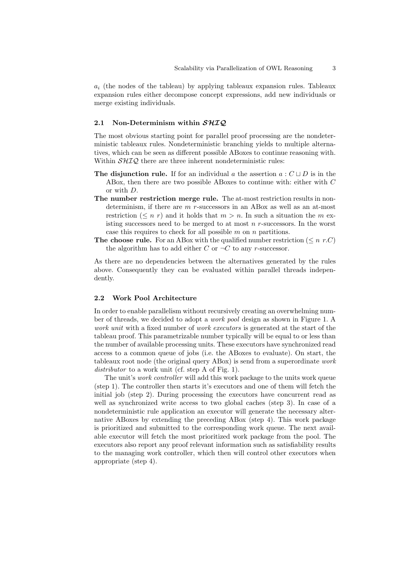$a_i$  (the nodes of the tableau) by applying tableaux expansion rules. Tableaux expansion rules either decompose concept expressions, add new individuals or merge existing individuals.

## 2.1 Non-Determinism within  $\mathcal{SHIQ}$

The most obvious starting point for parallel proof processing are the nondeterministic tableaux rules. Nondeterministic branching yields to multiple alternatives, which can be seen as different possible ABoxes to continue reasoning with. Within  $\mathcal{SHIQ}$  there are three inherent nondeterministic rules:

- **The disjunction rule.** If for an individual a the assertion  $a: C \sqcup D$  is in the ABox, then there are two possible ABoxes to continue with: either with C or with D.
- The number restriction merge rule. The at-most restriction results in nondeterminism, if there are m r-successors in an ABox as well as an at-most restriction ( $\leq n$  r) and it holds that  $m > n$ . In such a situation the m existing successors need to be merged to at most  $n$  r-successors. In the worst case this requires to check for all possible  $m$  on  $n$  partitions.
- **The choose rule.** For an ABox with the qualified number restriction ( $\leq n$  r.C) the algorithm has to add either C or  $\neg C$  to any r-successor.

As there are no dependencies between the alternatives generated by the rules above. Consequently they can be evaluated within parallel threads independently.

### 2.2 Work Pool Architecture

In order to enable parallelism without recursively creating an overwhelming number of threads, we decided to adopt a work pool design as shown in Figure 1. A work unit with a fixed number of *work executors* is generated at the start of the tableau proof. This parametrizable number typically will be equal to or less than the number of available processing units. These executors have synchronized read access to a common queue of jobs (i.e. the ABoxes to evaluate). On start, the tableaux root node (the original query ABox) is send from a superordinate work distributor to a work unit (cf. step A of Fig. 1).

The unit's work controller will add this work package to the units work queue (step 1). The controller then starts it's executors and one of them will fetch the initial job (step 2). During processing the executors have concurrent read as well as synchronized write access to two global caches (step 3). In case of a nondeterministic rule application an executor will generate the necessary alternative ABoxes by extending the preceding ABox (step 4). This work package is prioritized and submitted to the corresponding work queue. The next available executor will fetch the most prioritized work package from the pool. The executors also report any proof relevant information such as satisfiability results to the managing work controller, which then will control other executors when appropriate (step 4).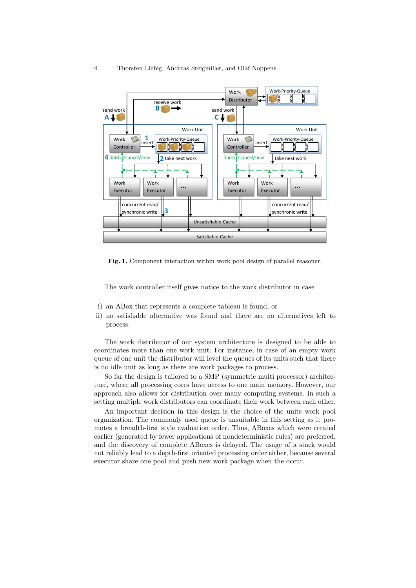

Fig. 1. Component interaction within work pool design of parallel reasoner.

The work controller itself gives notice to the work distributor in case

- i) an ABox that represents a complete tableau is found, or
- ii) no satisfiable alternative was found and there are no alternatives left to process.

The work distributor of our system architecture is designed to be able to coordinates more than one work unit. For instance, in case of an empty work queue of one unit the distributor will level the queues of its units such that there is no idle unit as long as there are work packages to process.

So far the design is tailored to a SMP (symmetric multi processor) architecture, where all processing cores have access to one main memory. However, our approach also allows for distribution over many computing systems. In such a setting multiple work distributors can coordinate their work between each other.

An important decision in this design is the choice of the units work pool organization. The commonly used queue is unsuitable in this setting as it promotes a breadth-first style evaluation order. Thus, ABoxes which were created earlier (generated by fewer applications of nondeterministic rules) are preferred, and the discovery of complete ABoxes is delayed. The usage of a stack would not reliably lead to a depth-first oriented processing order either, because several executor share one pool and push new work package when the occur.